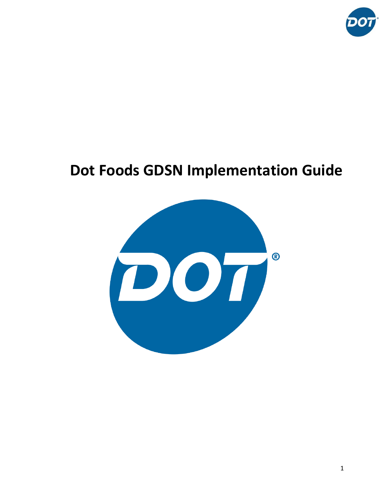

# **Dot Foods GDSN Implementation Guide**

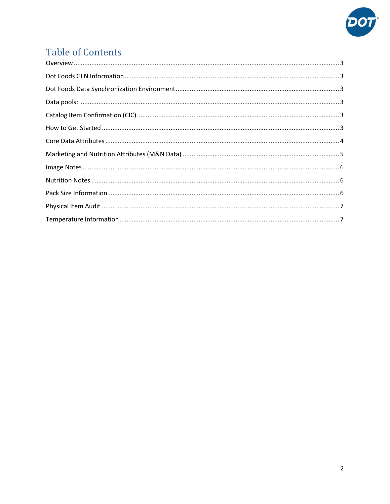

# **Table of Contents**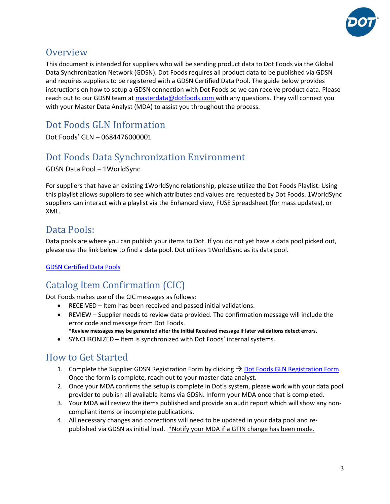

#### <span id="page-2-0"></span>**Overview**

This document is intended for suppliers who will be sending product data to Dot Foods via the Global Data Synchronization Network (GDSN). Dot Foods requires all product data to be published via GDSN and requires suppliers to be registered with a GDSN Certified Data Pool. The guide below provides instructions on how to setup a GDSN connection with Dot Foods so we can receive product data. Please reach out to our GDSN team a[t masterdata@dotfoods.com](mailto:masterdata@dotfoods.com) with any questions. They will connect you with your Master Data Analyst (MDA) to assist you throughout the process.

<span id="page-2-1"></span>Dot Foods GLN Information

Dot Foods' GLN – 0684476000001

# <span id="page-2-2"></span>Dot Foods Data Synchronization Environment

GDSN Data Pool – 1WorldSync

For suppliers that have an existing 1WorldSync relationship, please utilize the Dot Foods Playlist. Using this playlist allows suppliers to see which attributes and values are requested by Dot Foods. 1WorldSync suppliers can interact with a playlist via the Enhanced view, FUSE Spreadsheet (for mass updates), or XML.

# <span id="page-2-3"></span>Data Pools:

Data pools are where you can publish your items to Dot. If you do not yet have a data pool picked out, please use the link below to find a data pool. Dot utilizes 1WorldSync as its data pool.

#### <span id="page-2-4"></span>[GDSN Certified Data Pools](https://www.gs1.org/services/gdsn/certified-data-pools-list)

# Catalog Item Confirmation (CIC)

Dot Foods makes use of the CIC messages as follows:

- RECEIVED Item has been received and passed initial validations.
- REVIEW Supplier needs to review data provided. The confirmation message will include the error code and message from Dot Foods.
- **\*Review messages may be generated after the initial Received message if later validations detect errors.** • SYNCHRONIZED – Item is synchronized with Dot Foods' internal systems.

## <span id="page-2-5"></span>How to Get Started

- 1. Complete the Supplier GDSN Registration Form by clicking  $\rightarrow$  [Dot Foods GLN Registration Form.](http://www.aligntrac.com/dotfoods/registrations/) Once the form is complete, reach out to your master data analyst.
- 2. Once your MDA confirms the setup is complete in Dot's system, please work with your data pool provider to publish all available items via GDSN. Inform your MDA once that is completed.
- 3. Your MDA will review the items published and provide an audit report which will show any noncompliant items or incomplete publications.
- 4. All necessary changes and corrections will need to be updated in your data pool and republished via GDSN as initial load. \*Notify your MDA if a GTIN change has been made.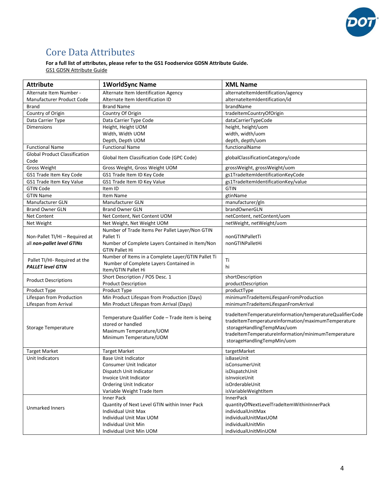

# <span id="page-3-0"></span>Core Data Attributes

#### **For a full list of attributes, please refer to the GS1 Foodservice GDSN Attribute Guide.**

GS1 GDSN [Attribute Guide](https://www.gs1us.org/DesktopModules/Bring2mind/DMX/Download.aspx?command=core_download&entryid=548&language=en-US&PortalId=0&TabId=134)

| <b>Attribute</b>                                                                                                                                   | 1WorldSync Name                                                                                                                                                        | <b>XML Name</b>                                                                                                                                                                                                                  |  |
|----------------------------------------------------------------------------------------------------------------------------------------------------|------------------------------------------------------------------------------------------------------------------------------------------------------------------------|----------------------------------------------------------------------------------------------------------------------------------------------------------------------------------------------------------------------------------|--|
| Alternate Item Number -                                                                                                                            | Alternate Item Identification Agency                                                                                                                                   | alternateItemIdentification/agency                                                                                                                                                                                               |  |
| Manufacturer Product Code                                                                                                                          | Alternate Item Identification ID                                                                                                                                       | alternateItemIdentification/id                                                                                                                                                                                                   |  |
| <b>Brand</b>                                                                                                                                       | <b>Brand Name</b>                                                                                                                                                      | brandName                                                                                                                                                                                                                        |  |
| Country of Origin                                                                                                                                  | Country Of Origin                                                                                                                                                      | tradeltemCountryOfOrigin                                                                                                                                                                                                         |  |
| Data Carrier Type                                                                                                                                  | Data Carrier Type Code                                                                                                                                                 | dataCarrierTypeCode                                                                                                                                                                                                              |  |
| <b>Dimensions</b>                                                                                                                                  | Height, Height UOM                                                                                                                                                     | height, height/uom                                                                                                                                                                                                               |  |
|                                                                                                                                                    | Width, Width UOM                                                                                                                                                       | width, width/uom                                                                                                                                                                                                                 |  |
|                                                                                                                                                    | Depth, Depth UOM                                                                                                                                                       | depth, depth/uom                                                                                                                                                                                                                 |  |
| <b>Functional Name</b>                                                                                                                             | <b>Functional Name</b>                                                                                                                                                 | functionalName                                                                                                                                                                                                                   |  |
| <b>Global Product Classification</b><br>Code                                                                                                       | Global Item Classification Code (GPC Code)                                                                                                                             | globalClassificationCategory/code                                                                                                                                                                                                |  |
| Gross Weight                                                                                                                                       | Gross Weight, Gross Weight UOM                                                                                                                                         | grossWeight, grossWeight/uom                                                                                                                                                                                                     |  |
| GS1 Trade Item Key Code                                                                                                                            | GS1 Trade Item ID Key Code                                                                                                                                             | gs1TradeItemIdentificationKeyCode                                                                                                                                                                                                |  |
| GS1 Trade Item Key Value                                                                                                                           | GS1 Trade Item ID Key Value                                                                                                                                            | gs1TradeItemIdentificationKey/value                                                                                                                                                                                              |  |
| <b>GTIN Code</b>                                                                                                                                   | Item ID                                                                                                                                                                | <b>GTIN</b>                                                                                                                                                                                                                      |  |
| <b>GTIN Name</b>                                                                                                                                   | Item Name                                                                                                                                                              | gtinName                                                                                                                                                                                                                         |  |
| Manufacturer GLN                                                                                                                                   | Manufacturer GLN                                                                                                                                                       | manufacturer/gln                                                                                                                                                                                                                 |  |
| <b>Brand Owner GLN</b>                                                                                                                             | <b>Brand Owner GLN</b>                                                                                                                                                 | brandOwnerGLN                                                                                                                                                                                                                    |  |
| <b>Net Content</b>                                                                                                                                 | Net Content, Net Content UOM                                                                                                                                           | netContent, netContent/uom                                                                                                                                                                                                       |  |
| Net Weight                                                                                                                                         | Net Weight, Net Weight UOM                                                                                                                                             | netWeight, netWeight/uom                                                                                                                                                                                                         |  |
| Non-Pallet TI/HI - Required at<br>all non-pallet level GTINs                                                                                       | Number of Trade Items Per Pallet Layer/Non GTIN<br>Pallet Ti<br>Number of Complete Layers Contained in Item/Non<br><b>GTIN Pallet Hi</b>                               | nonGTINPalletTi<br>nonGTINPalletHi                                                                                                                                                                                               |  |
| Pallet TI/HI- Required at the<br><b>PALLET level GTIN</b>                                                                                          | Number of Items in a Complete Layer/GTIN Pallet Ti<br>Number of Complete Layers Contained in<br>Item/GTIN Pallet Hi                                                    | Ti<br>hi                                                                                                                                                                                                                         |  |
| <b>Product Descriptions</b>                                                                                                                        | Short Description / POS Desc. 1<br><b>Product Description</b>                                                                                                          | shortDescription<br>productDescription                                                                                                                                                                                           |  |
| Product Type                                                                                                                                       | Product Type                                                                                                                                                           | productType                                                                                                                                                                                                                      |  |
| Lifespan from Production                                                                                                                           | Min Product Lifespan from Production (Days)                                                                                                                            | minimumTradeItemLifespanFromProduction                                                                                                                                                                                           |  |
| Lifespan from Arrival                                                                                                                              | Min Product Lifespan from Arrival (Days)                                                                                                                               | minimumTradeItemLifespanFromArrival                                                                                                                                                                                              |  |
| Temperature Qualifier Code - Trade item is being<br>stored or handled<br>Storage Temperature<br>Maximum Temperature/UOM<br>Minimum Temperature/UOM |                                                                                                                                                                        | tradeItemTemperatureInformation/temperatureQualifierCode<br>tradeItemTemperatureInformation/maximumTemperature<br>storageHandlingTempMax/uom<br>tradeItemTemperatureInformation/minimumTemperature<br>storageHandlingTempMin/uom |  |
| <b>Target Market</b>                                                                                                                               | <b>Target Market</b>                                                                                                                                                   | targetMarket                                                                                                                                                                                                                     |  |
| Unit Indicators                                                                                                                                    | <b>Base Unit Indicator</b>                                                                                                                                             | isBaseUnit                                                                                                                                                                                                                       |  |
|                                                                                                                                                    | Consumer Unit Indicator<br>Dispatch Unit Indicator<br>Invoice Unit Indicator<br>Ordering Unit Indicator<br>Variable Weight Trade Item                                  | isConsumerUnit<br>isDispatchUnit<br>islnvoiceUnit<br>isOrderableUnit<br>isVariableWeightItem                                                                                                                                     |  |
| Unmarked Inners                                                                                                                                    | Inner Pack<br>Quantity of Next Level GTIN within Inner Pack<br><b>Individual Unit Max</b><br>Individual Unit Max UOM<br>Individual Unit Min<br>Individual Unit Min UOM | <b>InnerPack</b><br>quantityOfNextLevelTradeItemWithinInnerPack<br>individualUnitMax<br>individualUnitMaxUOM<br>individualUnitMin<br>individualUnitMinUOM                                                                        |  |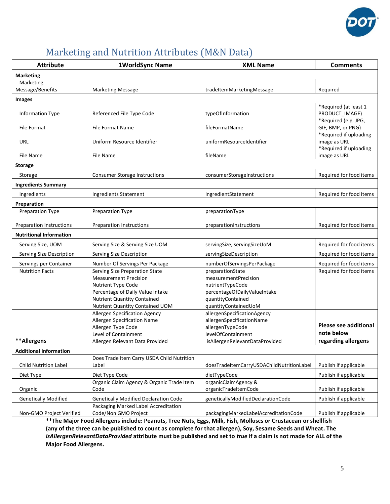

# <span id="page-4-0"></span>Marketing and Nutrition Attributes (M&N Data)

| <b>Attribute</b>               | 1WorldSync Name<br><b>XML Name</b>                      |                                                      | <b>Comments</b>                        |
|--------------------------------|---------------------------------------------------------|------------------------------------------------------|----------------------------------------|
| <b>Marketing</b>               |                                                         |                                                      |                                        |
| Marketing                      |                                                         |                                                      |                                        |
| Message/Benefits               | <b>Marketing Message</b>                                | tradeItemMarketingMessage                            | Required                               |
| <b>Images</b>                  |                                                         |                                                      |                                        |
|                                |                                                         |                                                      | *Required (at least 1                  |
| <b>Information Type</b>        | Referenced File Type Code                               | typeOfInformation                                    | PRODUCT_IMAGE)<br>*Required (e.g. JPG, |
| <b>File Format</b>             | <b>File Format Name</b>                                 | fileFormatName                                       | GIF, BMP, or PNG)                      |
|                                |                                                         |                                                      | *Required if uploading                 |
| URL                            | Uniform Resource Identifier                             | uniformResourceIdentifier                            | image as URL                           |
|                                |                                                         |                                                      | *Required if uploading                 |
| File Name                      | File Name                                               | fileName                                             | image as URL                           |
| <b>Storage</b>                 |                                                         |                                                      |                                        |
| Storage                        | <b>Consumer Storage Instructions</b>                    | consumerStorageInstructions                          | Required for food items                |
| <b>Ingredients Summary</b>     |                                                         |                                                      |                                        |
| Ingredients                    | Ingredients Statement                                   | ingredientStatement                                  | Required for food items                |
| Preparation                    |                                                         |                                                      |                                        |
| Preparation Type               | Preparation Type                                        | preparationType                                      |                                        |
|                                |                                                         |                                                      |                                        |
| Preparation Instructions       | <b>Preparation Instructions</b>                         | preparationInstructions                              | Required for food items                |
| <b>Nutritional Information</b> |                                                         |                                                      |                                        |
| Serving Size, UOM              | Serving Size & Serving Size UOM                         | servingSize, servingSizeUoM                          | Required for food items                |
| Serving Size Description       | Serving Size Description                                | servingSizeDescription                               | Required for food items                |
| Servings per Container         | Number Of Servings Per Package                          | numberOfServingsPerPackage                           | Required for food items                |
| <b>Nutrition Facts</b>         | Serving Size Preparation State                          | preparationState                                     | Required for food items                |
|                                | <b>Measurement Precision</b>                            | measurementPrecision                                 |                                        |
|                                | Nutrient Type Code<br>Percentage of Daily Value Intake  | nutrientTypeCode<br>percentageOfDailyValueIntake     |                                        |
|                                | <b>Nutrient Quantity Contained</b>                      | quantityContained                                    |                                        |
|                                | Nutrient Quantity Contained UOM                         | quantityContainedUoM                                 |                                        |
|                                | Allergen Specification Agency                           | allergenSpecificationAgency                          |                                        |
|                                | Allergen Specification Name                             | allergenSpecificationName                            | <b>Please see additional</b>           |
|                                | Allergen Type Code                                      | allergenTypeCode                                     | note below                             |
| **Allergens                    | Level of Containment<br>Allergen Relevant Data Provided | levelOfContainment<br>isAllergenRelevantDataProvided | regarding allergens                    |
|                                |                                                         |                                                      |                                        |
| <b>Additional Information</b>  | Does Trade Item Carry USDA Child Nutrition              |                                                      |                                        |
| <b>Child Nutrition Label</b>   | Label                                                   | doesTradeItemCarryUSDAChildNutritionLabeI            | Publish if applicable                  |
| Diet Type                      | Diet Type Code                                          | dietTypeCode                                         | Publish if applicable                  |
|                                | Organic Claim Agency & Organic Trade Item               | organicClaimAgency &                                 |                                        |
| Organic                        | Code                                                    | organicTradeItemCode                                 | Publish if applicable                  |
| <b>Genetically Modified</b>    | <b>Genetically Modified Declaration Code</b>            | geneticallyModifiedDeclarationCode                   | Publish if applicable                  |
|                                | Packaging Marked Label Accreditation                    |                                                      |                                        |
| Non-GMO Project Verified       | Code/Non GMO Project                                    | packagingMarkedLabelAccreditationCode                | Publish if applicable                  |

**\*\*The Major Food Allergens include: Peanuts, Tree Nuts, Eggs, Milk, Fish, Molluscs or Crustacean or shellfish (any of the three can be published to count as complete for that allergen), Soy, Sesame Seeds and Wheat. The** *isAllergenRelevantDataProvided* **attribute must be published and set to** *true* **if a claim is not made for ALL of the Major Food Allergens.**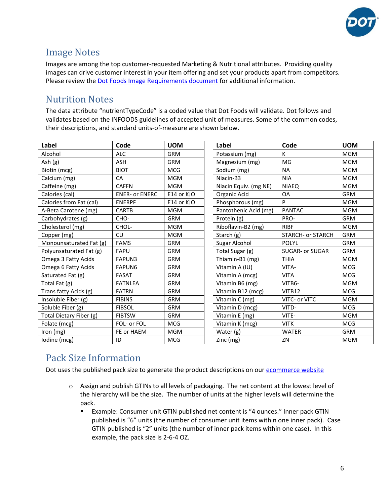

## <span id="page-5-0"></span>Image Notes

Images are among the top customer-requested Marketing & Nutritional attributes. Providing quality images can drive customer interest in your item offering and set your products apart from competitors. Please review the [Dot Foods Image Requirements document](https://www.dotfoods.com/siteassets/corporate/pdfs/gdsn-page/2021_gdsn_image_requirements.pdf) for additional information.

# <span id="page-5-1"></span>Nutrition Notes

The data attribute "nutrientTypeCode" is a coded value that Dot Foods will validate. Dot follows and validates based on the INFOODS guidelines of accepted unit of measures. Some of the common codes, their descriptions, and standard units-of-measure are shown below.

| Label                   | Code                  | <b>UOM</b> | Label                 | Code                     | <b>UOM</b> |
|-------------------------|-----------------------|------------|-----------------------|--------------------------|------------|
| Alcohol                 | <b>ALC</b>            | <b>GRM</b> | Potassium (mg)        | K                        | <b>MGM</b> |
| Ash (g)                 | <b>ASH</b>            | <b>GRM</b> | Magnesium (mg)        | MG                       | <b>MGM</b> |
| Biotin (mcg)            | <b>BIOT</b>           | <b>MCG</b> | Sodium (mg)           | <b>NA</b>                | <b>MGM</b> |
| Calcium (mg)            | CA                    | <b>MGM</b> | Niacin-B3             | <b>NIA</b>               | <b>MGM</b> |
| Caffeine (mg)           | <b>CAFFN</b>          | <b>MGM</b> | Niacin Equiv. (mg NE) | <b>NIAEO</b>             | <b>MGM</b> |
| Calories (cal)          | <b>ENER- or ENERC</b> | E14 or KJO | Organic Acid          | <b>OA</b>                | <b>GRM</b> |
| Calories from Fat (cal) | <b>ENERPF</b>         | E14 or KJO | Phosphorous (mg)      | P                        | <b>MGM</b> |
| A-Beta Carotene (mg)    | <b>CARTB</b>          | <b>MGM</b> | Pantothenic Acid (mg) | <b>PANTAC</b>            | <b>MGM</b> |
| Carbohydrates (g)       | CHO-                  | <b>GRM</b> | Protein (g)           | PRO-                     | <b>GRM</b> |
| Cholesterol (mg)        | CHOL-                 | <b>MGM</b> | Riboflavin-B2 (mg)    | <b>RIBF</b>              | <b>MGM</b> |
| Copper (mg)             | <b>CU</b>             | <b>MGM</b> | Starch (g)            | <b>STARCH- or STARCH</b> | <b>GRM</b> |
| Monounsaturated Fat (g) | <b>FAMS</b>           | <b>GRM</b> | Sugar Alcohol         | <b>POLYL</b>             | <b>GRM</b> |
| Polyunsaturated Fat (g) | <b>FAPU</b>           | <b>GRM</b> | Total Sugar (g)       | <b>SUGAR- or SUGAR</b>   | <b>GRM</b> |
| Omega 3 Fatty Acids     | FAPUN3                | <b>GRM</b> | Thiamin-B1 (mg)       | <b>THIA</b>              | <b>MGM</b> |
| Omega 6 Fatty Acids     | <b>FAPUN6</b>         | <b>GRM</b> | Vitamin A (IU)        | VITA-                    | <b>MCG</b> |
| Saturated Fat (g)       | <b>FASAT</b>          | <b>GRM</b> | Vitamin A (mcg)       | <b>VITA</b>              | <b>MCG</b> |
| Total Fat (g)           | <b>FATNLEA</b>        | <b>GRM</b> | Vitamin B6 (mg)       | VITB6-                   | <b>MGM</b> |
| Trans fatty Acids (g)   | <b>FATRN</b>          | <b>GRM</b> | Vitamin B12 (mcg)     | VITB12                   | <b>MCG</b> |
| Insoluble Fiber (g)     | <b>FIBINS</b>         | <b>GRM</b> | Vitamin C (mg)        | VITC- or VITC            | <b>MGM</b> |
| Soluble Fiber (g)       | <b>FIBSOL</b>         | <b>GRM</b> | Vitamin D (mcg)       | VITD-                    | <b>MCG</b> |
| Total Dietary Fiber (g) | <b>FIBTSW</b>         | <b>GRM</b> | Vitamin E (mg)        | VITE-                    | <b>MGM</b> |
| Folate (mcg)            | FOL- or FOL           | <b>MCG</b> | Vitamin K (mcg)       | <b>VITK</b>              | <b>MCG</b> |
| Iron (mg)               | FE or HAEM            | <b>MGM</b> | Water (g)             | <b>WATER</b>             | <b>GRM</b> |
| Iodine (mcg)            | ID                    | <b>MCG</b> | Zinc (mg)             | ZN                       | <b>MGM</b> |

# <span id="page-5-2"></span>Pack Size Information

Dot uses the published pack size to generate the product descriptions on our [ecommerce website](http://www.dotfoods.com/shop)

- $\circ$  Assign and publish GTINs to all levels of packaging. The net content at the lowest level of the hierarchy will be the size. The number of units at the higher levels will determine the pack.
	- Example: Consumer unit GTIN published net content is "4 ounces." Inner pack GTIN published is "6" units (the number of consumer unit items within one inner pack). Case GTIN published is "2" units (the number of inner pack items within one case). In this example, the pack size is 2-6-4 OZ.